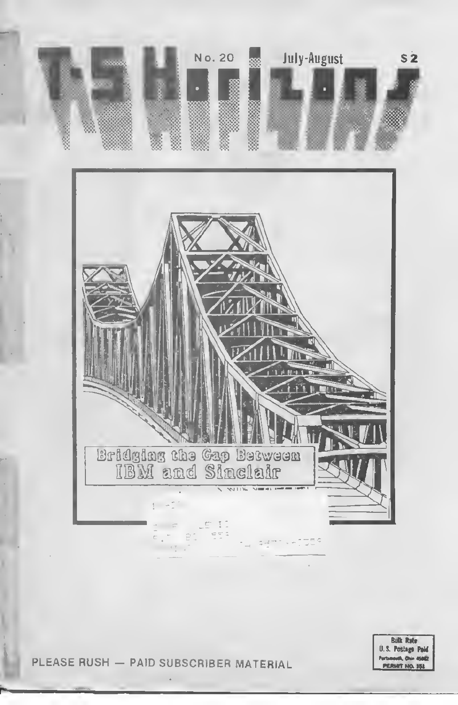

PLEASE RUSH - PAID SUBSCRIBER MATERIAL

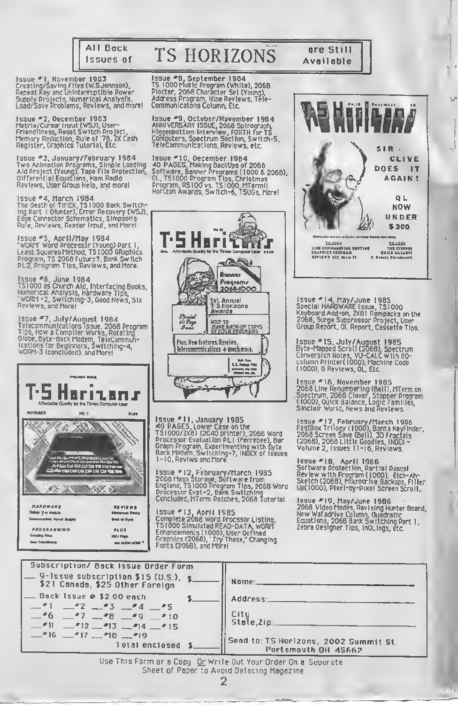

## **TS HORIZONS**

Issue #1, November 1983<br>Creating/Saving Files (W.S.Johnson),<br>Repeat Key and Uninterruptible Power Repeat Ney and Dimiter repeate Force<br>Supply Projects, Numerical Analysis,<br>Load/Save Problems, Reviews, and more!

Issue #2, Oecember 1983<br>Matrix/Cursor Input (WSJ), User-<br>Friendliness, Reset Switch Project,<br>Memory Reduction, Rule of '78, ZX Cash<br>Register, Graphics Tutorial, Etc.

Issue #3, January/February 1984<br>Two Animation Programs, Simple Loading<br>Aid Project (Young), Tape File Protection,<br>Oifferential Equations, Ham Radio<br>Reviews, User Group Help, and morel

Issue #4, March 1984<br>The Oeath of TimEX, TS1000 Bank Switching Part 1 (Hunter), Error Recovery (WSJ),<br>Edge Connector Schematics, Simpson's<br>Rule, Reviews, Reader Input, and Morel

Issue ₹S, April/May 1984<br>"WORM" Word Processor (Young) Part 1,<br>Least Squares Method, TS1000 GRaphics<br>Program, TS 2068 Future?, Bank Switch<br>Pt.2, Program Tips, Reviews, and More.

Issue #6, June 1984<br>TS1000 as Church Aid, Interfacing Books,<br>Numerical Analysis, Hardware Tips,<br>'WORr'-2, Switching-3, Good News, Six<br>Reviews, and Morel

Issue #7, July/August 1984 Fassue - 7, 2017 August 1998 Program<br>Tips, How a Compiler Works, Rotating<br>Globe, Byte-Back Modem, TeleCommun-<br>Ications for Beginners, Switching-4,<br>WORM-3 (concluded), and Morel



and MADI MORE ?

**User Friendliness** 

Issue FB, September 1984<br>TS 1000 Music Program (White), 2068<br>Plotter, 2068 Character Set (Young),<br>Address Program, Nine Reviews, Tele-Communications Column, Etc.

Issue #9, October/November 1984<br>ANNIVERSARY ISSUE, 2068 Spirograph,<br>Higgenbottom Interview, FORTH for TS<br>Computers, Spectrum Section, Switch-S, TeleCommunications, Reviews, etc.

1ssue #10, Oecember 1984<br>40 PAGES, Making BackUps of 2068<br>Software, Banner Programs (1000 & 2068),<br>OL, TS1000 Program Tips, Christmas<br>Program, RS100 vs. TS1000, MTermil<br>Horizon Awards, Switch-6, TSUGs, Morel



Issue \*11, January 1985<br>40 PAGES, Lower Case on the<br>TS1000/ZX81 (2040 printer), 2068 Word<br>Processor Evaluation PL1 (Ferrebee), Bar<br>Graph Program, Experimenting with flyte<br>Back Modem, Switching-7, INDEX of Issues<br>1-10, Revi

Issue \*12, February/March 1985<br>2068 Mass Storage, Software from<br>England, T51000 Program Tips, 2068 Word<br>Processor Eval.-2, Bank Switching<br>Concluded, MTerm Patches, 2068 Tutorial.

Issue #13, April 1985<br>Complete 2068 Word Procesor Listing,<br>TS1000 Simulated READ-DATA, WORY<br>Enhancements (1000), User Oefined<br>Graphics (2068), 'Try These,' Changing<br>Fonts (2068), and Morel



are Still

Available

Issue #14, May/June 1985<br>Special HAROWARE Issue, TS1000<br>Keyboard Add-on, ZXB1 Rampacks on the<br>2068, Surge Suppressor Project, User<br>Group Report, OL Report, Cassette Tips.

Issue = 15, July/August 1985<br>Byte-Mapped Scroll (2068), Spectrum<br>Conversion Notes, VU-CALC with 80-<br>column Printer(1000), Machine Code<br>(1000), B Reviews, OL, Etc.

Issue =16, November 1985<br>2068 Line Renumbering (Bell), MTerm on<br>Spectrum, 2068 Clover, Stopper Program<br>(1000), Quick Balance, Logic Families,<br>Sinclair World, News and Reviews.

Issue \*17, February/March 1906<br>FastBox Trilogy (1000), Banta Keyfinder,<br>2068 Screen Save (Beli), 3D Fractals<br>(2068), 2068 Little Goodies, INDEX -<br>Volume 2, Issues 11-16, Reviews.

Issue = IB, April 1986<br>Software Protection, Partial Pascal<br>Review with Program (1000), Etch-Ah-<br>Sketch (2068), Mikrodrive Backups, Filler<br>Up(1000), Pixel-by-Pixel Screen Scroll,

Issue #19, May/June 1986<br>2068 Video Modes, Revising Hunter Board,<br>New Wafadrive Column, Quadratic<br>Equations, 2068 Bank Switching Part 1,<br>Zebra Oesigner Tips, InOLings, etc.

 $11.4$ 

| Subscription/ Bock Issue Order Form                                                                                                                                |                                                                                                 |
|--------------------------------------------------------------------------------------------------------------------------------------------------------------------|-------------------------------------------------------------------------------------------------|
| $-9$ -Issue subscription \$15 (U.S.), \$<br>\$21 Canada, \$25 Other Foreign                                                                                        | Nome:                                                                                           |
| $-$ Back Issue $\odot$ \$2.00 each<br>$-1$ $-2$ $-3$ $-4$ $-5$<br>$-5$ $-7$ $-5$ $-5$ $-5$<br>$-11$ $-12$ $-13$ $-14$ $-15$<br>$ 16  17  18  19$<br>Total enclosed | Address:<br>Citu<br>State, Zip:<br>Send to: TS Horizons, 2002 Summit St.<br>Portsmouth OH 45662 |
| ilco This Entro or a Coau. Or Weste Out Vous Osdas On a Curvusota.                                                                                                 |                                                                                                 |

or a Copy . <u>Or</u> Write Out Your Order On a Separate Sheet of Paper to Avoid Defecting Magazine  $\overline{2}$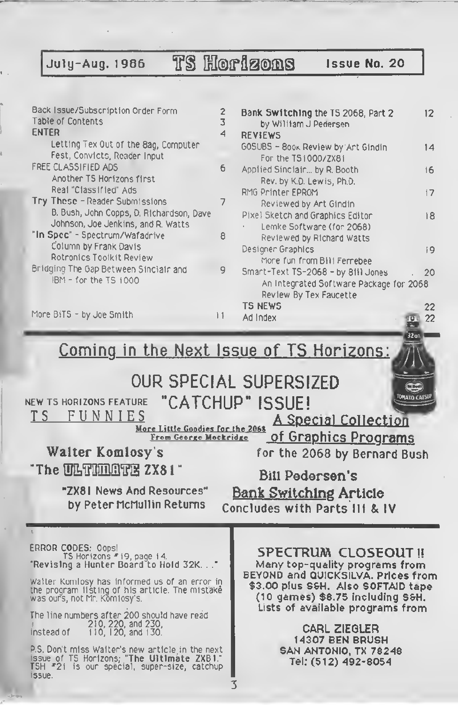July-Aug. 1986 TS HOP1200S Issue No. 20

—

 $\overline{\phantom{a}}$ 

| Back Issue/Subscription Order Form<br>Table of Contents<br><b>ENTER</b><br>Letting Tex Out of the 8ag, Computer<br>Fest, Convicts, Reader Input<br>FREE CLASSIFIED ADS<br>Another TS Horizons first<br>Real "Classified" Ads<br>Try These - Reader Submissions<br>B. Bush, John Copps, D. Richardson, Dave<br>Johnson, Joe Jenkins, and R. Watts<br>"In Spec" - Spectrum/Wafadrive<br>Column by Frank Davis<br>Rotronics Toolkit Review<br>Bridging The Gap Between Sinclair and<br>IBM - for the TS 1000<br>More BiTS - by Joe Smith<br>$  \nmid$ | 2<br>Bank Switching the TS 2068, Part 2<br>12<br>3<br>by William J Pedersen<br>4<br><b>REVIEWS</b><br>GOSUBS - 800x Review by Art Gindin<br>14<br>For the TS1000/ZX81<br>6<br>Applied Sinciair by R. Booth<br>16<br>Rev. by K.D. Lewis, Ph.D.<br>RMG Printer EPROM<br>17<br>7<br>Reviewed by Art Gindin<br>Pixel Sketch and Graphics Editor<br>18<br>Lemke Software (for 2068)<br>8<br>Reviewed by Richard Watts<br>Designer Graphics<br>19<br>More fun from Billi Ferrebee<br>9<br>Smart-Text TS-2068 - by 8111 Jones<br>20<br>An Integrated Software Package for 2068<br>Review By Tex Faucette<br><b>TS NEWS</b><br>22<br>Ad Index<br>22<br>$\overline{a}$ |
|----------------------------------------------------------------------------------------------------------------------------------------------------------------------------------------------------------------------------------------------------------------------------------------------------------------------------------------------------------------------------------------------------------------------------------------------------------------------------------------------------------------------------------------------------|---------------------------------------------------------------------------------------------------------------------------------------------------------------------------------------------------------------------------------------------------------------------------------------------------------------------------------------------------------------------------------------------------------------------------------------------------------------------------------------------------------------------------------------------------------------------------------------------------------------------------------------------------------------|
|                                                                                                                                                                                                                                                                                                                                                                                                                                                                                                                                                    | 32a1<br><u>Coming in the Next Issue of TS Horizons:</u><br>OUR SPECIAL SUPERSIZED                                                                                                                                                                                                                                                                                                                                                                                                                                                                                                                                                                             |
| NEW TS HORIZONS FEATURE<br>T S<br>FUNNIES<br>More Little Goodies for the 2068<br>From George Mockridge<br>Walter Komlosy's<br>"The ULTIMATE ZX81"<br>"ZX81 News And Resources"<br>by Peter McMullin Returns                                                                                                                                                                                                                                                                                                                                        | "CATCHUP" ISSUE!<br><b>A Special Collection</b><br><u>of Graphics Programs</u><br>for the 2068 by Bernard Bush<br><b>Bill Pedersen's</b><br><b>Bank Switching Article</b><br>Concludes with Parts III & IV                                                                                                                                                                                                                                                                                                                                                                                                                                                    |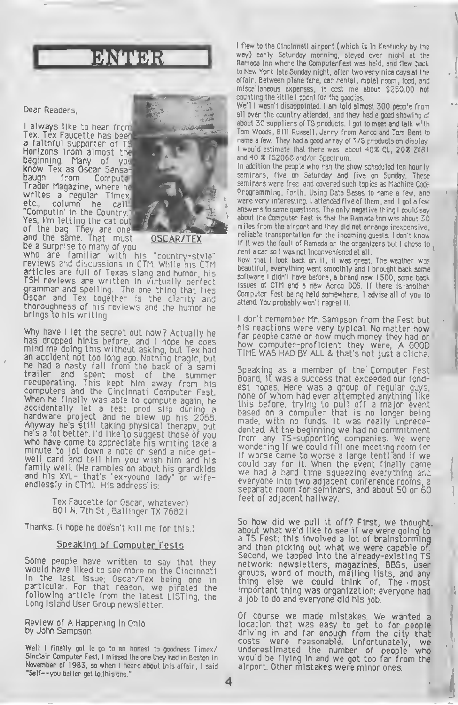## *EXPERIENCE*

#### Dear Readers,

<sup>I</sup> always like to hear from Tex. Tex Faucette has been a faithful supporter of TS Horizons trom almost the beginning. Many of you know Tex as Oscar Sensa-<br>baugh – from – Computer baugh from Trader Magazine, where he writes <sup>a</sup> regular Timex etc., column he call "Computin' in the Country. Yes, I'm letting the cat out of the bag They are one and the same That must be a surprise to many of you



OSCAR/TEX

who are familiar with his "country-style" reviews and discussions in CTM. While his CTM articles are full of Texas slang and humor, his TSH reviews are written in virtually perfect grammar and spelling. The one thing that ties Oscar and Tex together is the clarity and thoroughness of his reviews and the humor he brings to his writing.

Why have <sup>I</sup> let the secret out now? Actually he has dropped hints before, and <sup>I</sup> hope he does mind me doing this without asking, but Tex had an accident not too long ago. Nothing tragic, but he had <sup>a</sup> nasty fall from the back of <sup>a</sup> semi trailer and spent most of the summer recuperating. This kept him away from his computers and the Cincinnati Computer Fest. When he finally was able to compute again, he accidentally let <sup>a</sup> test prod slip during <sup>a</sup> hardware project and he blew up his 2068. Anyway he's still taking physical therapy, but he's a lot better. I'd like to suggest those of you who have come to appreciate his writing take a<br>minute to jot down a note or send a nice getwell card and tell him you wish him and his family well. (He rambles on about his grandkids and his XYL- that's "ex-younq lady" or wifeendlessly in CTM). His address is:

> Tex Faucette (or Oscar, whatever) 801 N. 7th St, Ballinger TX 76821

Thanks. (I hope he doesn't kill me for this.)

#### Spe aking of Computer Fests

Some people have written to say that they would have liked to see more on the Cincinnati in the last issue; Oscar/Tex being one in particular For that reason, we pirated the following article from the latest LISTing, the Long Island User Group newsletter:

Review of A Happening in Ohio by John Sampson

Well I finally got to go to an honest to goodness Timex/ Sinclair Computer Fest. I missed the one they had in Boston in November of 1983, so when <sup>I</sup> heard about this affair, <sup>I</sup> said "Self- -you better get to this one. ''

4

<sup>I</sup> flew to the Cincinnati airport (which is in Kentucky by the way) early Saturday morning, stayed over night at the Ramada Inn where the ComputerFest was held, and' flew back to New York late Sunday night, after two very nice days at the affair. Between plane fare, car rental, motel room, food, and miscellaneous expenses, it cost me about \$250.00 not counting the little <sup>I</sup> spent for the goodies.

Well <sup>I</sup> wasn't disappointed. <sup>I</sup> am told almost 300 people from all over the country attended, and they had a good showing of about 30 suppliers of TS products. <sup>I</sup> got to meet and talk with Tom Woods, Bill Russell, Jerry from Aerco and Tom Bent to name a few. They had a good array of T/S products on display I would estimate that there was about 40% QL, 20% 2X81 and 40 % TS2068 and/or Spectrum.

In addition the people who ran the show scheduled ten hourly seminars, five on Saturday and five on Sunday. These seminars were free and covered such topics as Machine Code Programming, Forth, Using Data Bases to name a few, and were very interesting. <sup>I</sup> attended five of them , and <sup>I</sup> got <sup>a</sup> few answers to some questions. The only negative thing <sup>I</sup> could say about the Computer Fest is that the Ramada Inn was ahout 30 miles from the airport and they did not arrange inexpensive, reliable transportation for the incoming guests. <sup>I</sup> don't know if it was the fault of Ramada or the organizers but I chose to, rent a car so <sup>I</sup> was not inconveniencd at all.

Now that <sup>I</sup> look back on it, it was great. The weather was beautiful, everything went smoothly and <sup>I</sup> brought back some software <sup>I</sup> didn't have before, a brand new 1500, some back issues of CTM and a new Aerco DOS. If there is another Computer Fest being held somewhere, <sup>I</sup> advise all of you to attend. You probably won't regret it.

<sup>I</sup> don't remember Mr. Sampson from the Fest but his reactions were very typical. No matter how<br>far people came or how much money they had or far people came or how much money they had or how computer-proficient they were, <sup>A</sup> GOOD TIME WAS HAD BY ALL & that's not just <sup>a</sup> cliche.

Speaking as <sup>a</sup> member of the Computer Fest Board, it was <sup>a</sup> success that exceeded our fondest hopes. Here was a group of regular guys, none of whom had ever attempted anything like this before, trying to pull off a major event based on a computer that is no longer being made, with no funds. It was really unprecedented. At the beginning we had no commitment from any TS-supportinq companies. We were wondering if we could fill one meeting room (or if worse came to worse <sup>a</sup> large tent) and if we could pay for it. When the event finally came we had <sup>a</sup> hard time squeezing everything ar.c everyone into two adjacent conference rooms, <sup>a</sup> separate room for seminars, and about 50 or 60 feet of adjacent hallway.

So how did we pull it off? First, we thought, about what we'd like to see if we were going to a TS Fest; this involved a lot of brainstorming and then picking out what we were capable of. Second, we tapped into the already-existing TS network: newsletters, magazines, BBSs, user groups, word of mouth, mailing lists, and any thing else we could think of. The most important thing was organization: everyone had a job to do and everyone did his job.

Of course we made mistakes. We wanted <sup>a</sup> location that was easy to get to for people driving in and far enough from the city that costs were reasonable. Unfortunately, we underestimated the number of people who would be flying in and we got too far from the airport. Other mistakes were minor ones.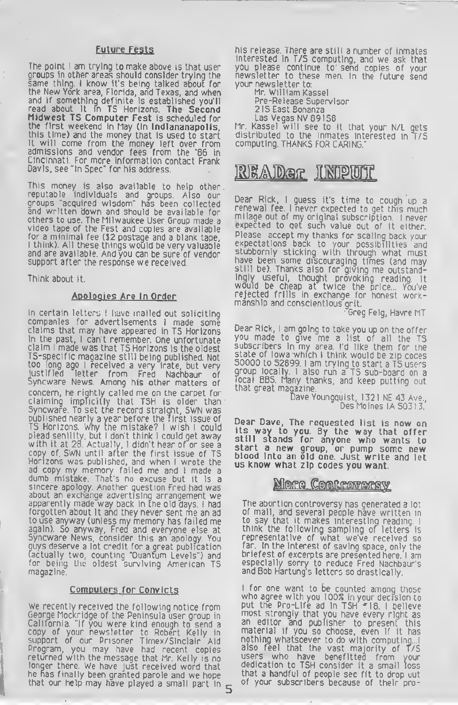#### Future Fests

The point <sup>I</sup> am trying to make above is that user groups in other areas should consider trying the same thing. <sup>I</sup> know it's being talked about for the New York area, Florida, and Texas, and when and if something definite is established you'll read about it in TS Horizons. The Second Midwest TS Computer Fest is scheduled for the first weekend in May (in Indiananapolis, this time) and the money that is used to start it will come from the money left over from admissions and vendor fees from the '86 in Cincinnati. For more information contact Frank Davis, see "In Spec" for his address.

This money is also available to help other reputable individuals and groups. Also our groups "acquired wisdom" has been collected and written down and should be available for others to use. The Milwaukee User Group made <sup>a</sup> video tape of the Fest and copies are available for <sup>a</sup> minimal fee (\$2 postage and a blank tape, <sup>I</sup> think). All these things would be very valuable and are available. And you can be sure of vendor support after the response we received.

Think about it.

#### Apologies Are In Order

In certain letters I have mailed out soliciting companies for advertisements <sup>I</sup> made some claims that may have appeared in TS Horizons in the past, <sup>I</sup> can't remember. One unfortunate claim <sup>l</sup> made was that TS Horizons is the oldest TS-specific magazine still being published. Not too long ago <sup>I</sup> received a very irate, but very justified letter from Fred Nachbaur of<br>Syncware News. Among his other matters of concern, he rightly called me on the carpet for claiming implicitly that TSH is older than Syncware. To set the record straight, SWN was published nearly a year before the first issue of TS Horizons, why the mistake? <sup>I</sup> wish <sup>I</sup> could plead senility, but <sup>I</sup> don't think <sup>I</sup> could get away with it at 28. Actually, <sup>I</sup> didn't hear of or see <sup>a</sup> copy of SWN until after the first issue of TS Horizons was published, and when <sup>I</sup> wrote the ad copy my memory failed me and I made a<br>dumb mistake. That's no excuse but it is a sincere apology. Another question Fred had was about an exchange advertising arrangement we apparently made way back in the old days. <sup>I</sup> had forgotten about it and they never sent me an ad to use anyway (unless my memory has failed me again). So anyway, Fred and everyone else at Syncware News, consider this an apology. You guys deserve a lot credit for a great publication Tactually two, counting "Quantum Levels") and for being the oldest surviving American TS magazine.

#### Computers for Convicts

We recently received the following notice from George Mockridge of the Peninsula user group in California, "If you were kind enough to send a copy of your newsletter to Robert Kelly in support of our Prisoner Timex/Sinclair Aid Program, you may have had recent copies returned with the message that Mr. Kelly is no longer there. We have just received word that he nas finally been granted parole and we hope that our help may have played a small part in

his release. There are still a number of inmates interested in T/5 computing, and we ask that you please continue to send copies of your newsletter to these men. In the future send your newsletter to:

Mr. William Kassel Pre-Release Supervisor

215 East Bonanza

Las Vegas NV 89158

Mr. Kassel will see to it that your N/L gets distributed to the inmates interested in T/S computing. THANKS FOR CARING."

### READer INPUT

Dear Rick, <sup>I</sup> guess it's time to cough up <sup>a</sup> renewal fee. <sup>I</sup> never expected to get this much milage out of my original subscription. <sup>I</sup> never expected to qet such value out of it either. Please accept my thanks for scaling back your expectations back to your possibilities and stubbornly sticking with through what must have been some discouraging times (and may still be). Thanks also for giving me outstandingly useful, thought provoking reading It would be cheap at twice the price... You've rejected frills in exchange for honest workmanship and conscientious grit.

Greg Feig, Havre MT

Dear Rick, <sup>I</sup> am going to take you up on the offer you made to give me <sup>a</sup> list of all the TS subscribers in my area. I'd like them for the state of Iowa which <sup>I</sup> think would be zip codes <sup>50000</sup> to 52899. <sup>I</sup> am trying to start <sup>a</sup> T5 users group locally. <sup>I</sup> also run <sup>a</sup> TS sub-board on <sup>a</sup> local BBS. Many thanks, and keep putting out that great magazine.

> Dave Youngquist, 1321 NE 43 Ave., Des Moines IA S0313.

Dear Dave, The requested list is now on its way to you. By the way that offer still stands for anyone who wants to<br>start a new group, or pump some new start a new group, or pump some new<br>blood into an old one. Just write and let<br>us know what zip codes you want.

#### **Mora Controversy**

The abortion controversy has generated <sup>a</sup> lot of mail, and several people have written in to say that it makes interesting reading. <sup>I</sup> think the following sampling or letters is representative of what we've received so far. In the interest of saving space, only the briefest of excerpts are presented here. <sup>I</sup> am especially sorry to reduce Fred Nachbaur's and Bob Hartung's letters so drastically.

<sup>I</sup> for one want to be counted among those who agree with you 100% in your decision to put the Pro-Life ad in TSH \*18. <sup>I</sup> believe most, strongly that you have every right as an editor and publisher to present this material if you so choose, even if it has nothing whatsoever to do with computing... also feel that the vast majority of f/S users who have benefitted from your dedication to TSH consider it a small loss that a handful of people see fit to drop out of your subscribers because of their pro-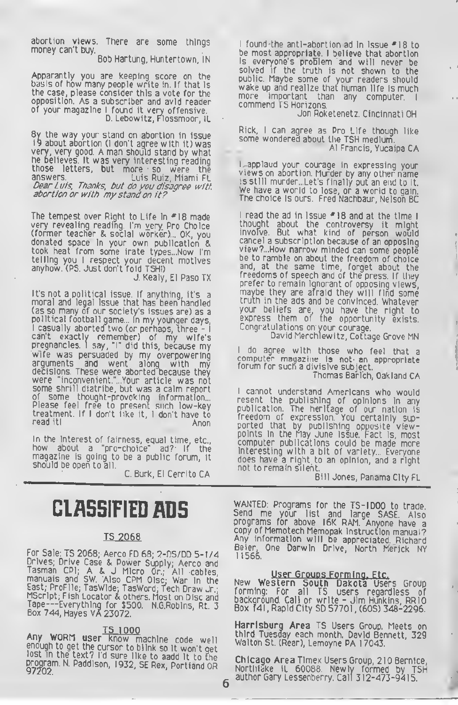abortion views. There are some things money can't buy.

Bob Hartung, Huntertown, IN

Apparantly you are keeping score on the basis of how many people write in. If that is the case, please consider this a vote for the opposition. As a subscriber and avid reader of your magazine <sup>I</sup> found it very offensive. D. Lebowitz, Fiossmoor, IL

By the way your stand on abortion in issue 19 about abortion (I don't agree with It) was very, very good. A man should stand by what he believes It was very interesting reading those letters, but more so were the Dear Luis, Thanks, but do you disagree with. abortion or with my stand on it?

The tempest over Right to Life in \*18 made very revealing reading. I'm very. Pro Choice (former teacher & social worker)... OK, you donated space in your own publication & took heat from some irate types...Now I'm telling you <sup>I</sup> respect your decent motives anyhow. (PS. Just don't fold TSH!)

J. Kealy, El Paso TX

It's not a political issue. If anything, it's a moral and legal issue that has been handled (as so many of our society's issues are) as <sup>a</sup> political football game... in my younger days, <sup>I</sup> casually aborted two (or perhaps, three - <sup>I</sup> can't exactly remember) of my wife's<br>pregnancies.lsay,\*i\*did\_this,because\_my wife was persuaded by my overpowering arguments and went along with my decisions. These were aborted because they were "inconvenient."...Your article was not<br>some shrill diatribe, but was a calm report of some thought-provoking information... Please feel free to present such low-key treatment. If <sup>I</sup> don't like it, <sup>I</sup> don't have to read it!

In the interest of fairness, equal time, etc., how about <sup>a</sup> "pro-choice" ad?- If the magazine is going to be <sup>a</sup> public forum, it should be open to all.

C. Burk, El Cerrito CA

6

## CLASSIFIED ADS

#### TS 2068

For Sale: TS 2068; Aerco FD 68; 2-DS/DD 5-1/4 Drives; Drive Case & Power Supply, Aerco and Tasman CPI; A & J Micro Dr.; All cables, manuals and SW. Also CPM Disc; War in the East; ProFile; TasWide; TasWord; Tech Draw Jr.;<br>MScript; Fish Locator & others. Most on Disc and MScript; Fish Locator & others. Most on Disc and<br>Tape---Everything for \$500. N.G.Robins, Rt. 3<br>Box 744, Hayes VA 23072.

Any WORM user know machine code well enough to get the cursor to blink so it won't get<br>lost in the text? I'd sure like to aadd it to the program. N. Paddison, 1932, SE Rex, Portfand OR<br>97202.

<sup>I</sup> found the anti-abortion ad in issue \*18 to be most appropriate. <sup>I</sup> believe that abortion is everyone's problem and will never be solved if the truth is not shown to the public. Maybe some of your readers should wake up and realize that human life is much more important than any computer.<br>Commend TS-Horizons.

Jon Roketenetz. Cincinnati OH

Rick, I can agree as Pro Life though like<br>some wondered about the TSH medium. A1 Francis, Yucaipa CA

<sup>I</sup> applaud your courage in expressing your views on abortion. Murder by any other name<br>is still murder...Let's finally put an end to it. is still murder ...Let's finally put an end to it.<br>We have a world to lose, or a world to gain. The choice is ours. Fred Nachbaur, Nelson BC

I read the ad in Issue #18 and at the time I thought about the controversy it might invoTve. But what kind of person would cancel <sup>a</sup> subscription because of an opposing view?...How narrow minded can some people be to ramble on about the freedom of choice and, at the same time, forget about the freedoms of speech and of the press. If they prefer to remain ignorant of opposing views, maybe they are afraid they will find some truth in the ads and be convinced. Whatever your beliefs are, you have the right to express them of the opportunity exists. Congr atulations on your courage.

David Merchlewitz, Cottage Grove MN

<sup>I</sup> do agree with those who feel that <sup>a</sup> computer magazine is not an appropriate forum for such a divisive subject. I

Thomas Barlich, Oakland CA

<sup>I</sup> cannot understand Americans who would resent the publishing of opinions in any publication. The heritage of our nation is freedom of expression. You certainly supported that by publishing opposite viewpoints in the May June issue. Fact is, most computer publications could be made more interesting with a bit of variety... Everyone does have a right to an opinion, and a right not to remain silent.

Bill Jones, Panama City FL

WANTED: Programs for the TS-IOOO to trade Send me your list and large SASE. Also programs for above 16K RAM. Anyone have <sup>a</sup> copy of Memotech Memopak instruction manual? Any information will be appreciated. Richard Beier, One Darwin Drive, North Merjck NY

User Groups Forming, Etc.<br>New Western South Dakota Users Group forming: For all TS users regardless of background. Call or write - Jim Hunkins, RR10 Box 141, Rapid City SD 57701, (605) 348-2296.

Harrisburg Area TS Users Group. Meets on third Tuesday each month. David Bennett, 329 Walton St. (Rear), Lemoyne PA 17043.

Chicago Area Timex Users Group, 210 Bernice, Northlake IL 60088. Newly formed by TSH author Gary Lessenberry. Calf 312-473-9415.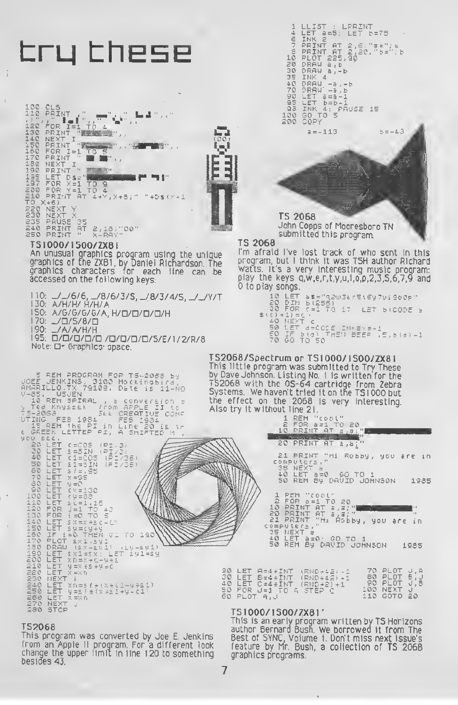

TS1000/1S00/ZX81'

### This is an early program written by TS Horizons<br>author Bernard Bush. We borrowed it from The Best of SYNC, Volume 1. Don't miss next issue's<br>feature by Mr. Bush, a collection of TS 206B graphics programs.

This program was converted by Joe E. Jenkins from an Apple II program. For a different look<br>change the upper limit in line 120 to something besides 43.

**TS2068**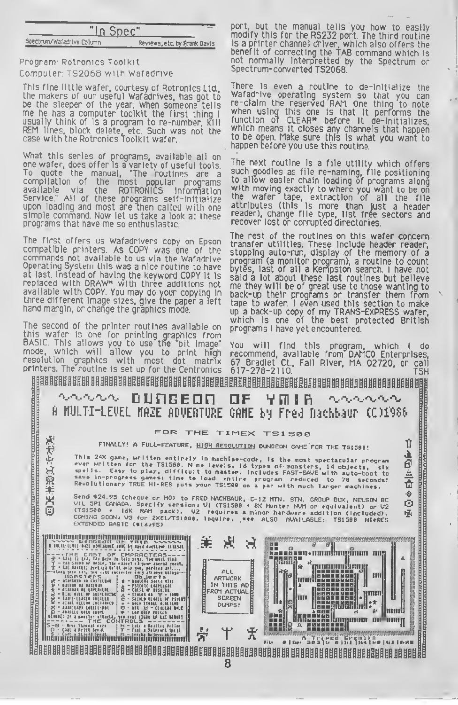|                      | "In Spec"                    |  |
|----------------------|------------------------------|--|
| rum/Wafadrive Column | Reviews, etc. by Frank Davis |  |

Program Rotronics Toolkit Computer: TS2068 with Wafadrive

Spec<sup>1</sup>

This fine little wafer, courtesy of Rotronics Ltd., the makers of our useful Wafadrives, has got to be the sleeper of the year. When someone tells me he has <sup>a</sup> computer toolkit the first thing <sup>I</sup> usually think of is <sup>a</sup> program to re-number, kill REM lines, block delete, etc. Such was not the case with the Rotronics Toolkit wafer.

What this series of programs, available all on one wafer, does offer is <sup>a</sup> variety of useful tools. To quote the manual, "The routines are <sup>a</sup> compilation of the most popular programs available via the ROTRONICS Information Service." All of these programs self-initialize upon loading and most are Then called with one simple command. Now let us take a look at these programs that have me so enthusiastic.

The first offers us Wafadrivers copy on Epson compatible printers As COPY was one of the commands not available to us via the Wafadrive Operating System this was a nice routine to have at last. Instead of having the keyword COPY it Is replaced with DRAW\* with three additions not available with COPY. You may do your copying in three different image sizes, give the paper <sup>a</sup> left hand margin, or change the graphics mode.

The second of the printer routines available on this wafer is one for printing graphics from BASIC. This allows you to use the "bit image" mode, which will allow you to print high resolution graphics with most dot matrix

port, but the manual tells you how to easily modify this for the RS232 port. The third routine Is a printer channel driver, which also offers the benefit of correcting the TAB command which is not normally interpretted by the Spectrum or Spectrum-converted TS2068.

There is even a routine to de-initialize the Wafadrive operating system so that you can<br>re-claim the reserved RAM. One thing to note<br>when using this one Is that It performs the when using this one is that it performs the<br>function of CLEAR\* before it de-initializes, which means it closes any channels that happen to be open. Make sure this Is what you want to happen before you use this routine.

The next routine is a file utility which offers such goodies as file re-naming, file positioning to allow easier chain loading of programs along with moving exactly to where you want to be on the wafer tape, extraction of all the file attributes (this is more than just <sup>a</sup> header reader), change file type, list free sectors and recover lost or corrupted directories.

The rest of the routines on this wafer concern transfer utilities. These include header reader, stopping auto-run, display of the memory of a program (a monitor program), a routine to count bytes, last of all a Kempston search. <sup>I</sup> have not said <sup>a</sup> lot about these last routines but believe me they will be of great use to those wanting to back-up their programs or transfer them from tape to wafer. <sup>I</sup> even used thts section to make up a back-up copy of my TRANS-EXPRESS wafer, which Is one of the best protected British programs <sup>I</sup> have yet encountered.

resolution graphics with most dot matrix 67 Bradlet Ct., Fall River, MA 02720, or call<br>printers. The routine is set up for the Centronics 617-278-2110. TSH You will find this program, which <sup>I</sup> do recommend, available from DAMCO Enterprises,



8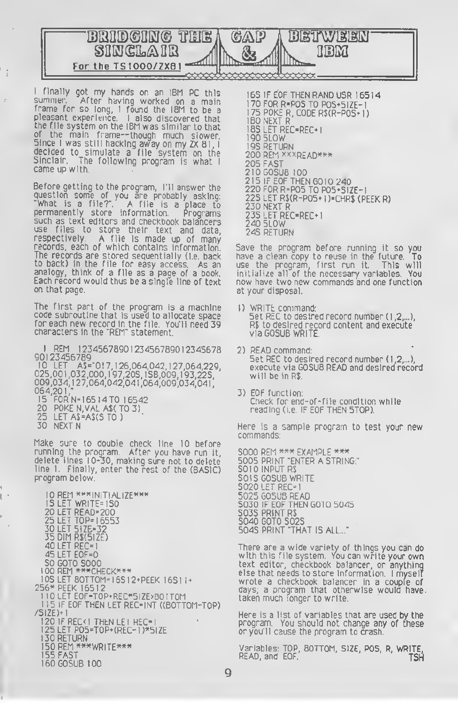

<sup>I</sup> finally got my hands on an IBM PC this summer. After having worked on <sup>a</sup> main frame for so long, <sup>I</sup> found the IBM to be <sup>a</sup> pleasant experience. <sup>I</sup> also discovered that the file system on the IBM was similar to that of the main frame—though much slower. Since <sup>I</sup> was still hacking away on my ZX 81, decided to simulate <sup>a</sup> file system on the Sinclair. The following program is what <sup>I</sup> came up with.

Before getting to the program, I'll answer the question some of you are probably asking: "What is a file?". A file is <sup>a</sup> place to permanently store information. Programs such as text editors and checkbook balancers use files to store their text and data, respectively. A file is made up of many records, each of which contains information. The records are stored sequentially (i.e. back to back) in the file for easy access. As an analogy, think of a file as a page of a book. Each record would thus be a single line of text on that page.

The first part of the program is a machine code subroutine that is used to allocate space for each new record in the file. You'll need 39 characters in the "REM" statement.

REM 1234567890123456789012345678 90123456789

10 LET A\$="0 <sup>1</sup>7, 126,064,042, 127,064,229, 025,00 <sup>1</sup> ,032,000, <sup>1</sup> 97,205, <sup>1</sup>58,009, <sup>1</sup> 93,225, 009,034, <sup>1</sup> 27,064,042,041 ,064,009,034,041 064,201," 15 FOR N= <sup>1</sup> 65 14 TO 16542

- 20 POKE N,VAL A\$( TO 3)
- 25 LET A\$=A\$(5 TO )
- 30 NEXT N

 $\frac{1}{3}$ 

Ŷ.

Make sure to double check line 10 before running the program. After you have run it, delete lines 10-30, making sure not to delete line I. Finally, enter the rest of the (BASIC) program below.

<sup>I</sup> OREM \*\*\*INITIALIZE\*\*\* <u>1S LET WRITE=1SO</u> LET READ-200 LET TOP- <sup>1</sup>6553 LET SIZE-32 DIM R\$(SIZE) LET REC-I LET E0F=0 GOTO 5000 00 REM \*\*\*CHECK\*\*\* <sup>05</sup> LET BOTTOM- <sup>1</sup><sup>65</sup> <sup>1</sup>2\*PEEK <sup>1651</sup> <sup>1</sup> 256\* PEEK <sup>16512</sup> <sup>I</sup> 10 LET E0F-T0P\*REC\*5IZE>B0 <sup>r</sup> T0M 15 IF EOF THEN LET REC-INT ((BOTTOM-TOP) /SIZE)\* <sup>1</sup> 20 IF REC< <sup>I</sup> THEN LEI REC-I LET POS»TOP\*(REC- <sup>1</sup> )\*SIZE 130 RETURN REM \*\*\*WRITE\*\*\* <sup>1</sup> 55 FAST I60G0SUB 100

<sup>1</sup> 65 IF EOF THEN RAND USR 16514 <sup>1</sup> 70 FOR R-POS TO POS\*SIZE-<sup>1</sup> 75 POKE R. CODE R\$(R-POS\* <sup>I</sup> 180 NEXT R 185 LET REC-REC\* <sup>I</sup> <sup>1</sup> 90 SLOW 195 RETURN 200 REM \*xxreaD\*\*\* 205 FAST 2IOGOSUB 100 215 IF EOF THEN G010 240 220 FOR R=POS TO P0S\*SIZE-1 225 LET R\$(R-POS\* <sup>1</sup> )=CHR\$ (PEEK R) 230 NEXT R 235 LET REC-REC\* <sup>1</sup> 240 SLOW 245 RETURN

Save the program before running it so you have a clean copy to reuse in the future. To<br>use the program, first run it. This will use the program, first run it. initialize all of the necessary variables. You now have two new commands and one function at your disposal.

- 1) WRITE command: Set REC to desired record number (1,2,...), R\$ to desired record content and execute viaGOSUB WRITE.
- 2) READ command: Set REC to desired record number ( <sup>1</sup> ,2,...), execute via GOSUB READ and desired record will be in R\$.
- 3) EOF function: Check for end-of-file condition while reading (i.e IF EOF THEN STOP).

Here is a sample program to test your new commands:

5000 REM \*\*\* EXAMPLE \*\*\* 5005 PRINT "ENTER A STRING:" 5010 INPUT R\$ SOIS GOSUB WRITE 5020 LET REC= <sup>1</sup> 5025 GOSUB READ 5030 IF EOF THEN GOTO 5045 5035 PRINT R\$ 5040 GOTO 5025 5045 PRINT "THAT IS ALL..."

There are <sup>a</sup> wide variety of things you can do with this file system. You can write your own text editor, checkbook balancer, or anything else that needs to store information. <sup>I</sup> myself wrote a checkbook balancer in a couple of days; a program that otherwise would have. taken much longer to write.

Here is a list of variables that are used by the program. You should not change any of these or you'll cause the program to crash.

Variables: TOP, BOTTOM, SIZE, POS, R, WRITE, READ, and EOF. TSH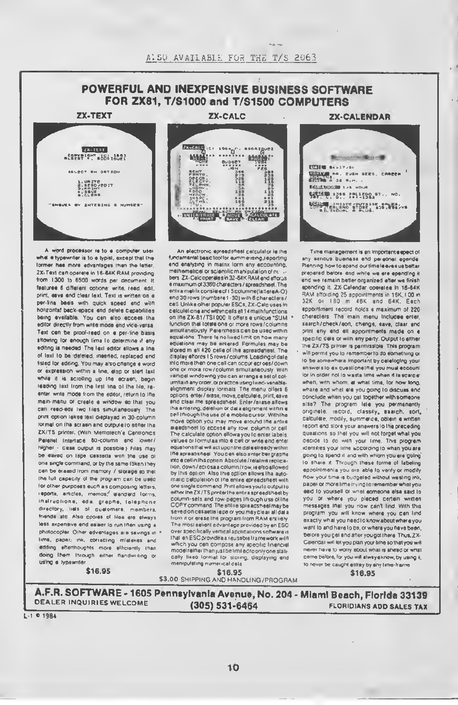### POWERFUL AND INEXPENSIVE BUSINESS SOFTWARE FOR ZX81, T/S1000 and T/S1500 COMPUTERS

ZX-TEXT



A word processor re to a computer user what a typewriter is to a typist, except that the former has more advantages than the latter ZX-Text can operate in 16-64K RAM providing from 1300 to 6500 words per document it features 6 different options: write, read. edit. print, save and clear lext. Text is written on a par-line basis with quick speed and with horizontal back-space and delete capabilities being available. You can also access the editor directly from write mode and vice-versa Text can be proof-read on a per-line basis allowing tor enough time to determine it any editing is needed. The text editor silows a line of text to be deleted, inserted, replaced and fisled for editing. You may also change a word or expression within a line, elop or stert taxt while it is scrolling up the ecraen, begin reading text trom the first ime of the file reenter write mode from the editor, return to the mem-menu or create <sup>a</sup> window so that you can read-adit two tiles simultaneously The print option takes text displayed in 30-column tormet on the screen and outputs to either the ZX/TS printer. (With Memotech's Centronics Parallel Interface 60-column end lower/ higher - case output is possible ) Files may be eaved on tape cessetta with the use of one single command, or by the same token they can be erased trom mamory / storage so that the lull capacity of the program can be used lor other purposes such as composing letters reports, articles, memos:' standard forms, inatructions, eda, graphs, telephone directory, liels of customers, members, friends etc Also copies of tiles are always less expensive and easier to run than using a photocopier Other advantages are savings in time, paper, ink. correcting mistakes and adding afterthoughts more efficiently than doing them through either handwriting or using a typewriter

**ZX-CALC** 



An electronic spreadsheet calculator is the fundamental basic tool for summensing.reporting and analyzing in matnx form any accounting, methematical or scientific manipulation of nu... bars ZX-Calc operates in 32-64K RAM and afforus a maximum of 3360 characters /spreadsheet The entira matrix consiste of 15 columns (latter eA-0) and 30 rows (numbers <sup>1</sup> -30) with 6 characters/ cell Unlike other popular ESCs. ZX-Calc uses in calculations and within cells as <sup>1</sup> 4 mathfunctions on the ZX-81/TSI 000 It offers a unique "SUM function that totals one or more rows/columns simultaneously Parenthesis can be used within equations. There is no lixed limit on how many equations may be entered Formulas may be stored m all 420 cells of the apreadsheet. The display attords <sup>1</sup> 5 rows/cotums. Loading of data into more than one cell can occur across/down one or mote row/column simultaneously With vertical windowing you can arrange <sup>a</sup> set ol columns many order, or practice using lixed-vaneble-aiignment display formats The menu otters 6 options enter / erase, move, calculate, print, save and clear the spreadsheet Enter /erase allows the entering, deletion or data elignment within a<br>cell iniough the use of a mobile cursor, With the move option you may move eround the antire sreadsneet to access any row. column or cell The calculate option allows you to enter labels values or formulas into a cell or write and enter equations that wib act upon the data already within the spreadsheet You can also enter bar graphs into a cell in this option Absolute / relative replication. down/acrossa column/row. isalsoailowed by this option Also this option allows the automatic calculation ot the entire spreadsheet with one single command Prmtailowsyoutooutputto efter the ZX/TS printer the entire spreedsheet by<br>column-sels and row-pages through use of the COPY command. The entire spreadsheet may be seved on cesaetie lape or you may clear all data Irom it or erase the program Irom RAM entirely The most salient advantage provided by an ESC over specifically vertical applications software is that an ESC provides a reusable framework with which you can compose any apecific financial model rather than |ust beiimitedtoonly one statically fixed lormat tor storing, displaying and manipulalmg numerical data

**ZX-CALENDAR** 



Time management is an important espect ol any serious business and personal agenda Planning how to spend our time leavea us better prepared before and while we are spending it and we remain better organized after we linish spending it ZX-Calendar operates in 16-64K RAM affording 25 appointments in 16K. 100 in 32K or 180 m 48K and 64K. Each appointment record holds a maximum ot 220 characters The main menu includes enter, saarch/check/sort, chenge, eave, claar end print any and all appointments made on a specific date or with any party. Output to either the ZX/TS printer is permissible This program will permit you to remember to do something or to be somewhere important by cataloging your answers to ex questione that you must account tor in order not to waste time when it is scarcer when, with whom, at what time, lor how long, where and what are you going to discuss and conclude when you get together with someone else? The program lets you permanently originate, record, classify, saarch, sort, calculate, modify, summarize, obtain a written report and store your answers to the preceding questions so that you will not lorget whet you decide to do with your time. This program identities your time according to when you are going to spend it and with whom you are going to share it. Through these forme of labeling appointments you are able <sup>10</sup> verify or modify how your time is budgeted without wasting ink. paper or more lime trying to remember whot you eaid to yoursell or what comeone else said to you or where you placed certain written messages that you now can't lind. With this program you will know where you cen lind exactly what you need to know about where you want to and have to be, or where you have been, before you gel and after you got there Thus, ZX-Calendar will let you plan your time so that you will never have to worry about what is ahead or what came before, for you will always know, by using 4. to never be caught astray by any time-frame

\$16.95 \$3.00 SHIPPING AND HANDLING/PROGRAM \$ \$ 16.95 16.95

A.F.R. SOFTWARE - <sup>1605</sup> Pennsylvania Avenue, No. <sup>204</sup> - Miami Beach, Florida <sup>33139</sup> DEALER INQUIRIES WELCOME

"

L-1 **0** 1984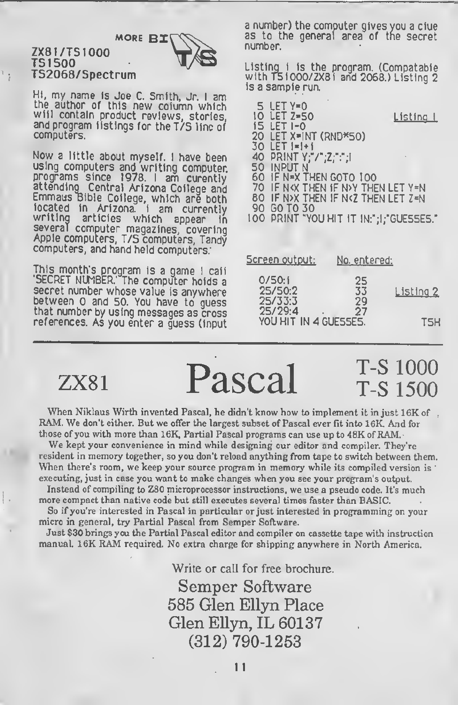#### ZX81/TS1000 TS <sup>1</sup> 500 TS2068/Spectrum



Hi, my name Is Joe C. Smith, Jr. <sup>I</sup> am the author of this new column which will contain product reviews, stories, and program listings for the T/5 line of computers.

Now <sup>a</sup> little about myself. <sup>I</sup> have been using computers and writing computer, programs since 1978. <sup>I</sup> am curently attending Central Arizona College and Emmaus Bible College, which are both located in Arizona. I am currently<br>writing articles which appear in writing articles which appear in several computer magazines, covering Apple computers, T/S computers, Tandy computers, and hand held computers.

This month's program is <sup>a</sup> game <sup>I</sup> call 'SECRET NUMBER.' The computer holds <sup>a</sup> secret number whose value is anywhere between 0 and 50. You have to quess that number by using messages as cross references. As you enter a guess (input a number) the computer gives you a clue as to the general area of tne secret number.

Listing <sup>1</sup> is the program. (Compatable with TSI000/ZX8I and 2068.) Listing 2 Is a sample run.

| 10 | 5 LET Y=0<br>LET Z=50<br><u> Listing I</u>                      |
|----|-----------------------------------------------------------------|
|    | <b>15 LET 1-0</b>                                               |
| 20 | LET X=INT (RND*50)                                              |
| 30 | $LET 1=1+1$                                                     |
|    | 40 PRINT Y:"/":Z:":":I                                          |
|    | 50 INPUT N                                                      |
|    | 60 IF N=X THEN GOTO 100                                         |
|    | 70 IF NKX THEN IF NOY THEN LET Y=N                              |
|    | <b>BO IF N&gt;X THEN IF N<z let="" then="" z="N&lt;/b"></z></b> |
| 90 | <b>GO TO 30</b>                                                 |
|    | 100 PRINT "YOU HIT IT IN:";1;"GUESSES."                         |

| <u>Screen output:</u>            | <u>No. entered:</u> |           |
|----------------------------------|---------------------|-----------|
| 0/50:1<br>25/50:2<br>25/33:3     | 25<br>33<br>29      | Listing 2 |
| 25/29:4<br>YOU HIT IN 4 GUESSES. | 27                  | TSH       |

 $ZX81$   $Pascal$   $T-S1000$   $T-S1500$ 

When Niklaus Wirth invented Pascal, he didn't know how to implement it in just 16K of RAM. We don't either. But we offer the largest subset of Pascal ever fit into 16K. And for those of you with more than 16K, Partial Pascal programs can use up to 48K of RAM.

We kept your convenience in mind while designing our editor and compiler. They're resident in memory together, so you don't reload anything from tape to switch between them. When there's room, we keep your source program in memory while its compiled version is : executing, just in case you want to make changes when you see your program's output.

Instead of compiling to Z80 microprocessor instructions, we use a pseudo code. It's much more compact than native code but still executes several times faster than BASIC.

So if you're interested in Pascal in particular or just interested in programming on your micro in general, try Partial Pascal from Semper Software.

Just \$30 brings you the Partial Pascal editor and compiler on cassette tape with instruction manual. 16K RAM required. No extra charge for shipping anywhere in North America.

> Write or call for free brochure. Semper Software 585 Glen Ellyn Place Glen Ellyn, IL 60137 (312) 790-1253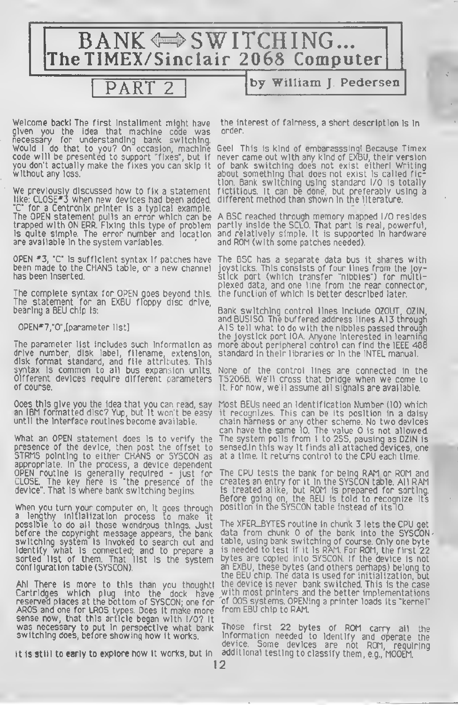

given you the idea that machine code was order, necessary for understanding bank switching.

like: CLOSE<sup>\*3</sup> when new devices had been added, different method than shown in the literature. "C" for a Centronix printer is a typical example. are available in the system variables.  $\hskip1cm r$  and ROM (with some patches needed).

The complete syntax for OPEN goes beyond this, The statement for an EXBU floppy disc drive,<br>bearing a BEU chip is:

drive number, disk label, filename, extension, standard in their libraries or In the INTEL manual, disk format standard, and file attributes. This syntax is common to all bus expansion units. None of the control lines are connected in the<br>Olfferent devices require different parameters TS206B. We'll cross that bridge when we come to

appropriate. In the process, a device dependent

When you turn your computer on, it goes through position in tne SYSCON table instead of its ID. a lengthy initialization process to make It before the copyright message appears, the bank<br>switching system is invoked to search out and

reserved places at the bottom of SYSCON; one for "of OOS systems. OPENing a printer loads its "kernel".<br>AROS and one for LROS types. Does it make more "from EBU chip to RAM. sense now, that this article began with I/O? It<br>was necessary to put in perspective what bank Those first 22 bytes of ROM carry all the<br>switching does before showing how it works. Information needed to identify and operate

Welcom**e backi T**he first Instaliment might have the interest of fairness, a short description is in<br>given lyoul the lideal that machine code was lorder.

Would <sup>I</sup> do that to you? On occasion, machine Geel This Is kind of embarasssinal Because Timex code will be presented to support "fixes", but if never came out with any kind of EXBU, their version you don't actually make the fixes you can skip it of bank switching does not exist eitherl Writing without any loss. about something that does not exist is called fiction. Bank switching using standard I/O is totally We previously discussed how to fix a statement fictitious. It can be done, but preferably using <sup>a</sup>

The OPEN statement pulls an error which can be A BSC reached through memory mapped I/O resides trapped with ON ERR. Fixing this type of problem partly inside the SCLD. That part is real, powerful, Is quite simple. The error number and location and relatively simple. It is supported in hardware

OPEN  $*3$ , "C" is sufficient syntax if patches have The BSC has a separate data bus it shares with<br>been made to the CHANS table, or a new channel joysticks. This consists of four lines from the loybeen made to the CHANS table, or <sup>a</sup> new channel joysticks. This consists of four lines from the joyhas been inserted. stick port (which transfer "nibbles") for multiplexed data, and one line from the rear connector,<br>the function of which is better described later.

bearing a BEU chip Is: Bank switching control lines include DZOUT, DZIN, and BU5IS0. The buffered address lines AI3 through OPEN\*7,"O", [parameter list] AIS tell what to do with the nibbles passed through the joystick port IOA. Anyone interested in learning The parameter list includes such Information as more about peripheral control can find the IEEE 488

Different devices require different parameters TS2068. We'll cross that bridge when we come to It. For now, we'll assume all signals are available.

Does this give you the idea that you can read, say Most BEUs need an Identification Number (ID) which an IBM formatted disc? Yup, but it won't be easy it recognises. This can be its position in <sup>a</sup> daisy until the interface routines become available.  $\qquad \quad$  chain harness or any other scheme. No two devices can have the same ID. The value 0 is not allowed. What an OPEN statement does is to verify the The system polls from 1 to 255, pausing as DZIN is<br>presence of the device, then post the offset to sensed.In this way it finds all attached devices, one presence of the device, then post the offset to sensed.In this way it finds all attached devices, one<br>5TRMS pointing to either CHANS or 5YSCON as at a time. It returns control to the CPU each time.

OPEN routine is generally required - just for The CPU tests the bank for being RAM or ROM and CLOSE. The key here is "the presence of the creates an entry for it in the SYSCON table. All RAM device". That is where bank switching begins. is treated alike, but ROM is prepared for sorting. Before going on, the BEU Is told to recognize its

possible to do all those wondrous things. Just The XFER\_BYTES routine in chunk 3 lets the CPU get<br>before the copyright message appears, the bank data from chunk 0 of the bank into the SYSCON, switching system Is invoked to search out and table, using bank switching of course. Only one byte identify what is connected; and to prepare a is needed to test if it is RAM. For ROM, the first 22 sorted list of them. That list is the system bytes are copied into SYSCON. If the device is not Identify what is connected; and to prepare a is needed to test if it is RAM. For ROM, the first 22<br>sorted list of them. That list is the system bytes are copied into SYSCON. If the device is not<br>configuration table (SYSCON the BEU chip. The data is used for initialization, but Ah! There is more to this than you thoughtl the device is never bank switched. This is the case with most printers and the better implementations<br>of OOS systems. OPENing a printer loads its "kernel"

Information needed to Identify and operate the device. Some devices are not ROM, requiring It is still to early to explore how it works, but in additional testing to classify them, e.g., MOOEM.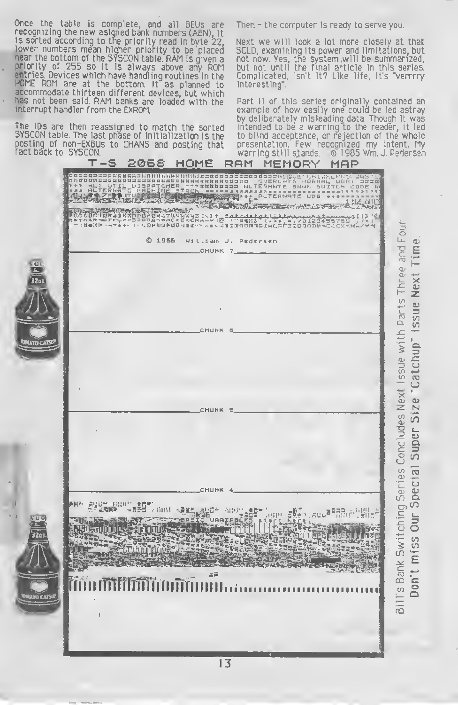Once the table is complete, and all BEUs are recognizing the new asigned bank numbers (ABN), it<br>is sorted according to the priority read in byte 22, lower numbers mean higher priority to be placed<br>near the bottom of the SYSCON table. RAM is given a priority of 255 so it is always above any ROM<br>entries Devices which have handling routines in the HCME ROM are at the bottom. It as planned to accommodate thirteen different devices, but which has not been said. RAM banks are loaded with the interrupt handler from the EXROM.

The IDs are then reassigned to match the sorted SYSCON table. The last phase of initialization is the posting of non-EXBUs to CHANS and posting that fact báck to SYSCON.

Then - the computer is ready to serve you.

Next we will look a lot more closely at that SCLD, examining its power and limitations, but not now. Yes, the system, will be summarized. but not until the final article in this series. Complicated, Isn't It? Like life, It's "verrrry Interesting".

Part II of this series originally contained an example of how easily one could be led astray by deliberately misleading data. Though it was intended to be a warning to the reader, it led<br>to blind acceptance, or rejection of the whole<br>presentation. Few recognized my intent. My<br>warning still stands. © 1985 Wm. J. Pedersen

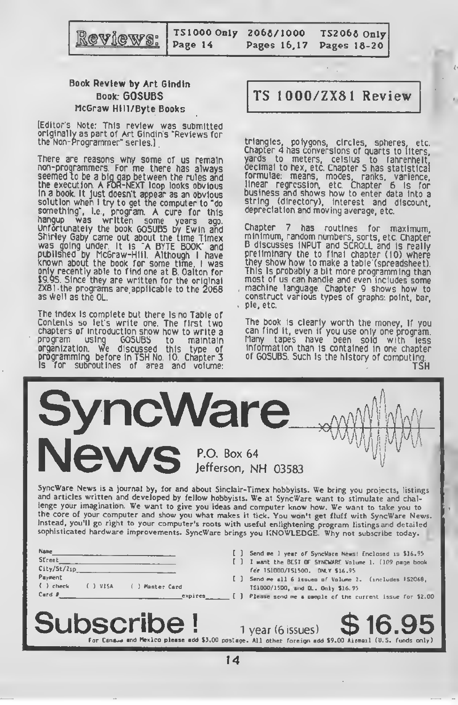

T51000 Only Page 14

2068/1000 Pages 16,17

T52068 Only Pages 18-20

#### Book Review by Art Gindin Book: GOSUBS McGraw Hlll/Byte Books

[Editor's Note: This review was submitted originally as part of Art Gindin's "Reviews for the Non-Programmer" series.]

There are reasons why some of us remain non-programmers. For me there has always seemed to be a bid gap between the rules and the execution. A For-NEXT loop looks obvious in a book. It Just doesn't appear as an obvious solution when <sup>I</sup> try to get the computer to "do something", l.e., program. A cure for this hangup was written some years ago. Unfortunately the book GOSUBS by Ewln and Shirley Gaby came out about the time Timex was going under. It is "A BYTE BOOK" and published by McGraw-Hill. Although <sup>I</sup> have known about the book for some time, <sup>I</sup> was only recently able to find one at B. Dalton for \$9.95. Since they are written for the original ZX81 the programs are applicable to the 2068 as well as the QL.

The index Is complete but there Is no Table of Contents so let's write one The first two chapters of introduction show how to write <sup>a</sup> program using GOSUBS to maintain organization. We discussed this type of programming before in TSH No. 10. Chapter <sup>3</sup> Is for subroutines of area and volume:

### TS 1000/ZX81 Review

triangles, polygons, circles, spheres, etc. Chapter 4 has conversions of quarts to liters, yards to meters, Celsius to fahrenheit, decimal to hex, etc. Chapter 5 has statistical formulae: means, modes, ranks, varience, business and shows how to enter data into a string (directory). Interest and discount, depreciation and moving average, etc.

Chapter 7 has routines for maximum, minimum, random numbers, sorts, etc. Chapter 8 discusses INPUT and SCROLL and is really preliminary the to final chapter (10) where they show how to make a table (spreadsheet). This Is probably a bit more programming than most of us can handle and even includes some machine language. Chapter 9 shows how to construct various types of graphs: point, bar, pie, etc.

The book is clearly worth the money, if you can find it, even if you use only one program. Many tapes have been sold with less information than is contained in one chapter of GOSUBS. Such is the history of computing.

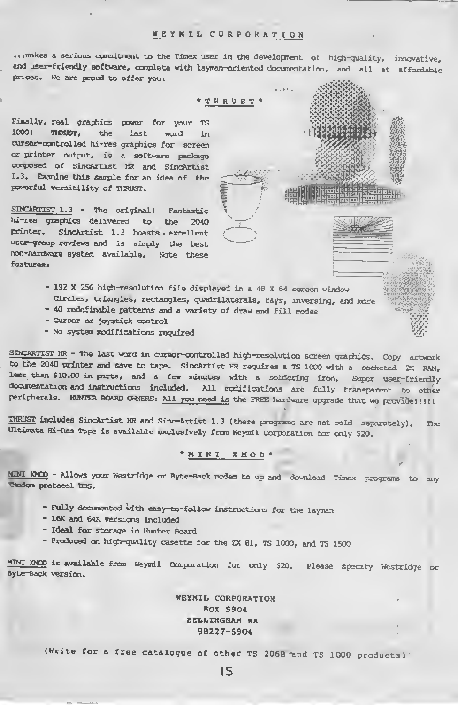#### WEYNIL CORPORATION

... makes a serious commitment to the Timex user in the development of high-quality, innovative, and user-friendly software, completa with layman-oriented documentation, and all at affordable prices. We are proud to offer you:

\*THRUST\*

Finally, real graphics power for your TS 1000! THRUST, the last word in cursor-controlled hi-res graphics for screen or printer output, is a software package composed of SincArtist HR and SincArtist 1.3. Examine this sanple for an idea of the powerful versitility of THRUST.

SINCARTIST 1.3 - The original! Fantastic hi-res graphics delivered to the 2040 printer. SincArtist 1.3 boasts excellent user-group reviews and is simply the best non-hardware system available. Note these features:

- 192 X 256 high-resolution file displayed in a 48 X 64 screen window

- Circles, triangles, rectangles, quadrilaterals, rays, inversing, and more
- 40 redefinable patterns and a variety of draw and fill modes
- Cursor or joystick control
- No system modifications required

SINCARTIST HR - The last word in cursor-controlled high-resolution screen graphics. Copy artwork to the 2040 printer and save to tape. SincArtist HR requires a TS 1000 with a socketed 2K RAM, less than \$10.00 in parts, and a few minutes with a soldering iron. Super user-friendly documentation and instructions included. All modifications are fully transparent to other peripherals. HURTER BOARD OWNERS: All you need is the FREE hardware upgrade that we provide!!!!!

• •' fter fy+tpftt:

THRUST includes SincArtist HR and Sinc-Artist 1.3 (these programs are not sold separately). The Ultimata Hi-Res Tape is available exclusively from Weymil Corporation for only \$20.

#### \*NINI XMOD\*

MINI XMOO - Allows your Westridge or Byte-Back modem to up and download Timex programs to any Tidem protocol BBS.

- Fully documented with easy-to-follow instructions for the layman
- 16K and 64K versions included
- Ideal for storage in Hunter Board
- Produced on high-quality casette for the ZX 81, TS 1000, ard TS <sup>1500</sup>

MINI XMOD is available from Weymil Corporation for only \$20. Please specify Westridge or Byte-Back version.

> WEYMIL CORPORATION BOX 5904 BELLINGHAM HA 98227-5904

(Write for a free catalogue of other TS 2068 and TS 1000 products)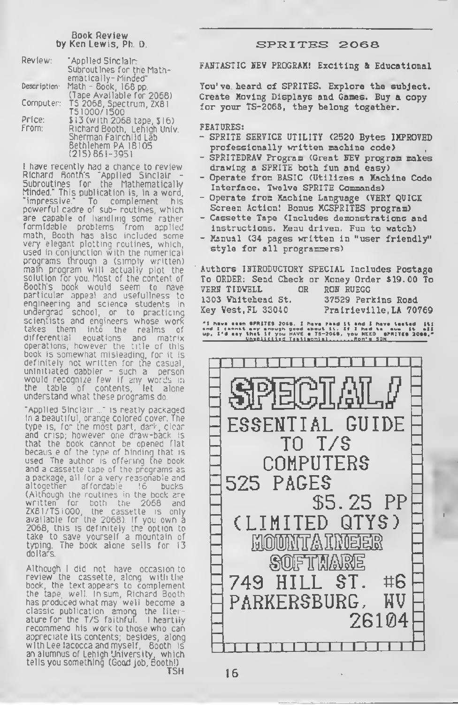### Book Review<br>by Ken Lewis, Ph. D.

| Review:      | "Applied Sinclair:          |
|--------------|-----------------------------|
|              | Subrout Ines for the Math-  |
|              | ematically- Minded"         |
| Description: | Math - Book, 168 pp.        |
|              | (Tape Available for 2068)   |
| Computer:    | TS 2068, Spectrum, ZX81     |
|              | TS1000/1500                 |
| Price:       | \$13 (with 2068 tape, \$16) |
| From:        | Richard Booth, Lehigh Univ. |
|              | Sherman Fairchlid Läb       |
|              | 8ethlehem PA 18105          |
|              | $(215) 861 - 3951$          |

<sup>I</sup> have recently had a chance to review Richard Rootn's "Applied Sinclair - Subroutines for the Mathematically Minded." This publication is, in a word, "impressive." To complement his powerful cadre of sub- routines, which are capable of handling some rather formidable problems from applied math, Booth has also included some very elegant plotting routines, which, used in conjunction with the numerical programs tnrough a (simply written) main program will actually plot the solution for you. Most of the content of Booth's boofc would seem to nave particular appeal and usefulness to engineering and science students in undergrad school, or to practicing scientists and engineers whose work<br>takes them into the realms of takes them into the realms of<br>differential equations and matrix eouations and matrix operations, however the title of this book is somewhat misleading, for it is definitely not written for the casual, uninitiated dabbler - such a person would recognize few if any words in the table of contents, let alone understand what these programs do.

"Applied Sinclair ..." is neatly packaged in a beautiful, orange colored cover. The type is, for the most part, dark, clear and crisp; however one draw-back is that the book cannot be opened flat becaus e of the type of binding that is used The author is offering the book and a cassette tape of the programs as a package, all for a very reasonable and altogether affordable 16 bucks (Although the routines in the book are written for both the 2068 and ZX8I/TSI000, the cassette is only available for the 2068). If you own <sup>a</sup> 2068, this is definitely the option to take to save yourself a mountain of typing. The book alone sells for 13 dollars.

Although <sup>i</sup> did not have occasion to review the cassette, along with the book, the text appears to complement the tape well In sum, Richard Booth has produced what may well become a classic publication among the literature for the T/S faithful. <sup>I</sup> heartily recommend his work to those who can appreciate its contents, besides, along with Lee lacocca and myself. Booth is an alumnus of Lehigh University, which tells you something. (Good job, Booth!)

#### SPRITES 2068

FAHTASTIC SEV PROGRAM! Exciting & Educational

You've heard of SPRITES. Explore the subject. Create Moving Displays and Games. Buy a copy for your TS-2068, they belong together.

#### FEATDRES:

- SPRITE SERVICE UTILITY (2520 Bytes IMPROVED professionally written machine code)
- SPRlTEDRAV Program (Great HEV program makes drawing a SPRITE both fun and easy)
- Operate from BASIC (Utilizes a Machine Code Interface. Twelve SPRITE Commands)
- Operate from Machine Language (VERY QUICK Screen Action! Bonus KCSPRITES program)
- Cassette Tape (Includes demonstrations and instructions. Menu driven. Fun to watch)
- Manual (34 pages written in "user friendly" style for all programmers)

Authors IFTRODUCTORY SPECIAL Includes Postage To ORDER: Send Check or Money Order \$19.00 To VERH TIDVELL OR ROM RUEGG 1303 Vhitehead St. 37529 Perkins Road Key Vest, FL 33040 Prairieville, LA 70769

\*1 havo soon SPRITES 20SS. <sup>I</sup> hava road It and <sup>I</sup> htvi taatad It] and <sup>I</sup> cannot say enough good about It. If <sup>I</sup> had to aua It all up. I'd aay that If you HAVE <sup>a</sup> TS-20SS. you NEED SPRITES 20SS.\* UanUHlUfl Tun.anltl Bcn'i acn

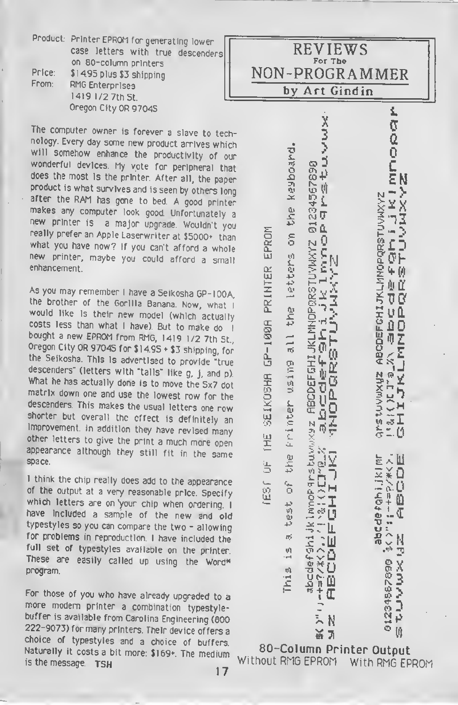|        | Product: Printer EPROM for generating lower |
|--------|---------------------------------------------|
|        | case letters with true descenders           |
|        | on 80-column printers                       |
| Price: | \$1495 plus \$3 shipping                    |
| From:  | RMG Enterprises                             |
|        | 1419 1/2 7th St.                            |
|        | Oregon City OR 9704S                        |

The computer owner is forever <sup>a</sup> slave to technology. Every day some new product arrives which will somehow enhance the productivity of our wonderful devices. My vote for peripheral that does the most is the printer After all, the paper product is what survives and is seen by others long after the RAM has gone to bed. A good printer makes any computer look good. Unfortunately a new printer is a major upgrade. Wouldn't you really prefer an Apple Laserwriter at \$5000+ than<br>what you have now? If you can't afford a whole new printer, maybe you could afford a small enhancement.

As you may remember <sup>I</sup> have <sup>a</sup> Seikosha GP-IOOA, would like Is their new model (which actually costs less than what I have). But to make do I costs less than what I have). But to make do I<br>bought a new EPROM from RMG, 1419 1/2 7th St., Oregon City OR 97045 for  $$14.95 \div $3$  shipping, for the Seikosha. This Is advertised to provide "true descenders" (letters with "tails" like g, j, and p). What he has actually done is to move the 5x7 dot matrix down one and use the lowest row for the descenders. This makes the usual letters one row shorter but overall the effect is definitely an improvement. In addition they have revised many other letters to give the print <sup>a</sup> much more open appearance although they still fit in the same space.

<sup>I</sup> think the chip really does add to the appearance of the output at <sup>a</sup> very reasonable price. Specify which letters are on Vour chip when ordering. <sup>I</sup> have included <sup>a</sup> sample of the new and old typestyles so you can compare the two - allowing for problems in reproduction. <sup>I</sup> have included the full set of typestyles available on the printer. These are easily called up using the Word\* program.

For those of you who have already upgraded to <sup>a</sup> more modem printer <sup>a</sup> combination typestylebuffer is available from Carolina Engineering (800 222-9073) for many printers. Their device offers <sup>a</sup> choice of typestyles and <sup>a</sup> choice of buffers. Naturally it costs a bit more: \$169+. The medium is the message. TSH

« 7i 80 - Column Printer Output Without RMG EPROM With RMG EPROM

EPROM<br>L យ៊  $\frac{\alpha}{\alpha}$ x <3 s> <u>ច់</u> x X kos<br>k u<br>O 1HE to U1

 $\mathbf{y}$ 3 > 7? i. "5OX  $\tilde{\Xi}$ **M** 1' £ L  $\frac{5}{2}$  $\ddot{x}$ Sil <=o ក ភូ EEN<br>E "1 i. a« 4-' 3|>\*  $\mathbb{Z}$   $\mathbb{Z}$   $\mathbb{Z}$ to C<br>C<br>O . J<br>C  $\ddot{\tilde{\mathbf{x}}}$  : 5,  $\widetilde{\mathcal{Z}}$  -1  $\widetilde{\mathcal{Z}}$  -1  $\widetilde{\mathcal{Z}}$  -1  $\widetilde{\mathcal{Z}}$  $\boldsymbol{\emptyset}$ "S abcde+F<br>1NOPQR3 euran ETO<br>Unio m Up i. a> X <sup>&</sup>gt; M the ⊻A⊃ i  $rac{4}{\alpha}$ ភូមិជ្ H  $\frac{6}{1}$ £ c3 <sup>1</sup> Ml to '13  $\leftarrow$ πŷ  $\frac{1}{3}$ :uj  $\frac{y}{1}$ គ<br>ប  $\frac{2}{3}$ **This**  $\frac{3}{2} \tilde{\chi}$  ( ED<br>ED  $\bar{\bm{\mathsf{u}}}$  G-  $_{\perp}$  $\widetilde{\vec{u}}$  if ns + I ፟፞ N

REVIEWS For The NON-PROGRAMMER by Art Gindin

> መጉ<br>ትጠ e i Ž۱, \_r »-> u<br>BD l<br>ان no ILu o o  $\overline{\phi}$  $\Xi\gtrsim 2$ लि  $\bar{\tilde{s}}$   $\bar{\tilde{b}}$  ,  $\bar{\tilde{b}}$  $\stackrel{\leftrightarrow}{\scriptstyle\sim}$   $\stackrel{\rightarrow}{\scriptstyle\sim}$   $\stackrel{\rightarrow}{\scriptstyle\sim}$  $\frac{2}{3}$  $\pm$   $\frac{0}{2}$ **99546+65+** 1711 xlll " V \* D de fahi<br>11 ++== (Q .€  $\mathbb{R}^\infty_{\frac{1}{2}}$ e x  $\frac{1}{2}$

> > $\tilde{\omega}$   $\tilde{\omega}$

lů

 $\bar{\mathbf{g}}$ ត្ត  $\overline{\mathsf{F}}$  . EN

M " )

3<br>E-X '"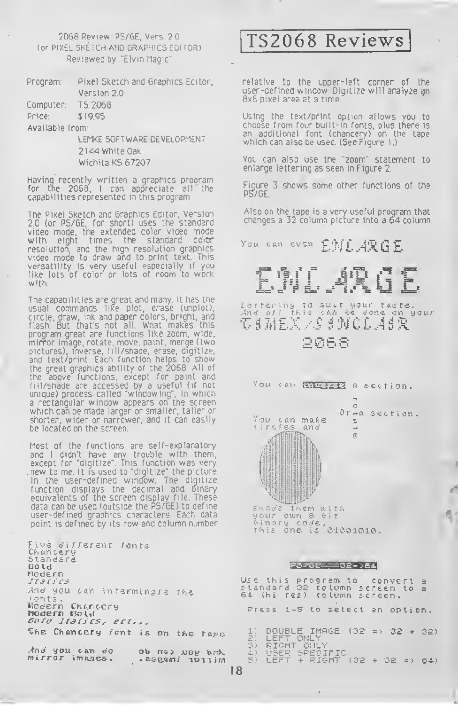#### 2066 Review P5/GE, Vers. 2.0 (or PIXEL SKETCH AND GRAPHICS EDITOR) Reviewed by "Elvin Magic"

| Program: | Pixel Sketch and Graphics Editor, |  |
|----------|-----------------------------------|--|
|          | Version 2.0                       |  |
|          |                                   |  |

| T5 2068<br>Computer: |
|----------------------|
|----------------------|

Price: \$19 95

Available from:

LEMKE SOFTWARE DEVELOPMENT 2144 White Oak Wichita KS 67207

Having recently written a graphics program for tne 2068, <sup>I</sup> can appreciate all the capabilities represented in this program

The Pixel Sketch and Graphics Editor, Version 2.0 (or PS/GE, for short) uses the standard video mode, the extended color video mode with eight times the standard color resolution, and the high resolution graphics video mode to draw and to print text. This versatility is very useful especially if you like lots of color or lots of room to work with.

The capabilities are great and many It has the usual commands like plot, erase (unplot), circle, draw, ink and paper colors, bright, and flash: But that's not all. What makes this program great are functions like zoom, wide, mirror image, rotate, move, paint, merge (two pictures), inverse, fill/shade, erase, digitize, and text/print. Each function helps to show the great graphics ability of the 2068 All of the above functions, except for paint and fill/shade are accessed by a useful (if not unique) process called "windowing", in which <sup>a</sup> rectangular window appears on the screen which can be made larger or smaller, taller or shorter, wider or narrower, and it can easily be located on the screen.

Most of the functions are self-explanatory and <sup>l</sup> didn't have any trouble with them, except for "digitize". This function was very new to me It is used to "digitize" the picture in the user-defined window The digitize function displays the decimal and binary equivalents of tne screen display file. These data can be used (outside the PS/GE) to define user-defined graphics characters Each data point is defined by its row and column number

Five different fonts Ch an eery<br>Standard Bold Modern S<sup>t</sup> 3 ( <sup>3</sup> CS And you can infermingle the fonts.<br>Modern Chancery Modern Bold Bold Jtdll'CS, set,., The Chancery font is on the tape

And you can do ob nas uoy brk<br>mirror images. . 298ami lonim

### TS2068 Reviews

relative to the upper-left corner of the user-defined window Digitize will analyze an 8x8 pixel area at a time.

Using the text/print option allows you to choose from four built-in fonts, plus there is an additional font (chancery) on the tape which can also be used. (See Figure 1.)

You can also use the "zoom" statement to enlarge lettering as seen in Figure 2.

Figure 3 shows some other functions of the P5/GE.

Also on the tape is a very useful program that changes <sup>a</sup> 32 column picture into <sup>a</sup> 64 column

You can even  $\texttt{EML}$  ARGE.



Letter ins to suit your taste. .<sup>4</sup>nd a// this can fee done on your 2 0 6 S



#### P576E=32->64

Use this program to convert <sup>a</sup> standard <sup>32</sup> column screen to <sup>a</sup> 64. (hi res) column screen. Press 1-5 to select an option. 1) DOUBLE IMAGE (32 => 32 <sup>+</sup> 32) 2) LEFT ONLY 3) RIGHT ONLY 4.) USER SPECIFIC 5) LEFT <sup>+</sup> RIGHT (32 +32 => 64)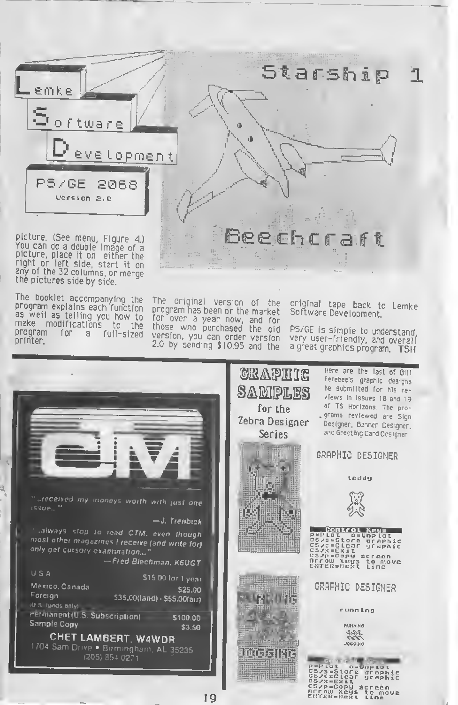

picture, place it on either the<br>right or left side, start it on<br>any of the 32 columns, or merge the pictures side by side.

The booklet accompanying the program explains each function as well as telling you how to make modifications to the a full-sized printer.

The original version of the<br>program.has.been.on.the.market for over <sup>a</sup> year now, and for those who purchased the old version, you can order version 2.0 by sending \$10.95 and the

original tape back to Lemke Software Development.

PS/GE is simple to understand very user-friendly, and overall <sup>a</sup> great graphics program. TSH

cs/p=copy screen<br>OFrow Xeys to move<br>ENTER=Next Line

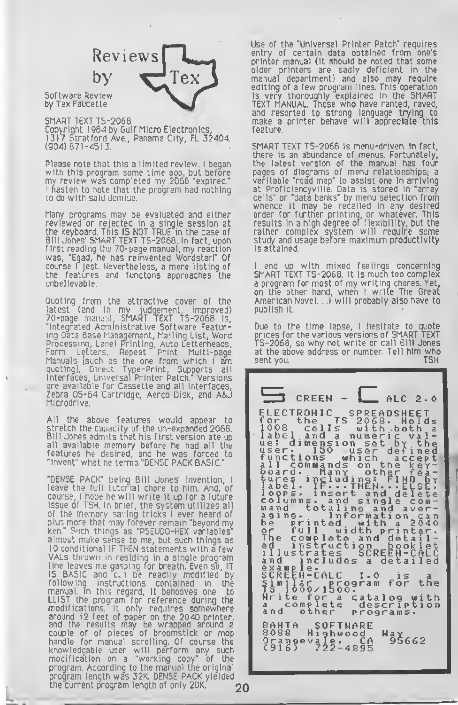## Reviews l e:

Software Review by Tex Faucette

SMART TEXT TS-2068 Copyright 1984 by Gulf Micro Electronics, 1317 Stratford Ave., Panama City, FL 32404.  $(904) 871 - 4513$ .

Please note that this a limited review, <sup>I</sup> began with this program some time ago, but before my review was completed my 2068 "expired." <sup>1</sup> hasten to note that the program had nothing to do with said demise.

Many programs may be evaluated and either reviewed or rejected in a single session at the keyboard. This IS NOT TRUE in the case of Bill Jones' SMART TEXT TS-2068. In fact, upon first reading the 70-page manual, my reaction was, "Egad, he has reinvented Wordstar!" Of course <sup>I</sup> jest. Nevertheless, a mere listing of the features and functons approaches the unbelievable.

Quoting from the attractive cover of the latest (and in my judgement, improved) 70-page manual, SMART TEXT TS-2068 is. "Integrated Administrative Software Featuring Data Base Management, Mailing List, Word Processing, Laoel Printing, Auto Letterheads, Form Letters, Repeat Print Multi-page Manuals [such as the one from which <sup>I</sup> am quoting], Direct Type-Print, Supports all Interfaces, Universal Printer Patch." Versions are available for Cassette and all Interfaces, Zebra 05-64 Cartridge, Aerco Disk, and A&J Microdrive.

All the above features would appear to stretch the capacity of the un-expanded 2068. Bill Jones admits tnat his first version ate up all available memory before he had all the features he desired, and he was forced to "invent" what he terms "DENSE PACK BASIC."

"DENSE PACK" being Bill Jones' invention, <sup>I</sup> leave the full tutorial chore to him. And, of course, <sup>I</sup> hope he will write it up for a future issue of TSH. In brief, the system utilizes all of the memory saving tricks <sup>l</sup> ever heard of plus more that may forever remain "beyond my ken." Such things as "PSEUDO-HEX variables almost make sense to me, but such things as 10 conditional IF THEN statements with a few VALs thrown in residing in <sup>a</sup> single program line leaves me gasping For breath. Even so, IT IS BASIC and c-i be readily modified by following instructions contained in the manual. In this regard, it behooves one to LLIST the program for reference during the modifications. It only requires somewhere around 12 feet of paper on the 2040 printer, and the results may be wrapped around a couple of of pieces of broomstick or mop handle for manual scrolling. Of course the knowledgable user will perform any such modification on a "working copy" of the program. According to the manual the original program length was 32K. DENSE PACK yielded the current program length of only 20K.

Use of the "Universal Printer Patch" requires entry of certain data obtained from one's printer manual (it should be noted that some older printers are sadly deficient In the manual department) and also may require editing of a few program lines. This operation is very thoroughly explained in the SMART TEXT MANUAL. Those who have ranted, raved, and resorted to strong language trying to make a printer behave will appreciate this feature.

SMART TEXT TS-2068 Is menu-driven. In fact, there is an abundance of menus. Fortunately, the latest version of the manual has four pages of diagrams of menu relationships; a veritable "road map" to assist one in arriving at Proficiencyville. Data is stored in "array cells" or "data banks" by menu selection from whence il may be recalled in any desired order for furttier printing, or whatever. This results in a high degree of flexibility, but the rather complex system will require some study and usage before maximum productivity is attained.

end up with mixed feelings concerning SMART TEXT TS-2068. It is much too complex a program for most of my writing chores. Yet, on the other hand, when I write The Great<br>American Novel...I will probably also have to publish it.

Due to the time lapse, I hesitate to quote prices for the various versions of SMART TEXT<br>TS-2068, so why not write or call Bill Jones at the above address or number. Tell him who sent you. **TSH** 

 $CREEN =$ ALC  $2 - 0$ ELECTRONIC SPREADSHEET<br>
1008 cells with both a<br>
1008 cells with both a<br>
label and a numeric val-<br>
user. 150 user defined<br>
user. 150 user defined<br>
functions which accept-<br>
11 commands on the keylabel and a numeric value<br>user. 150 set by the<br>functions which acceptined<br>all commands on the keyr-<br>turned including: Fighter-<br>label, IF... Then, including<br>label, IF... Then, including<br>label, IF... Then, include the<br>column **BAHTA SOFTWARE**<br>8088 Highwood<br>Orangevale, CA<br>(916) 722-4895 Way662

20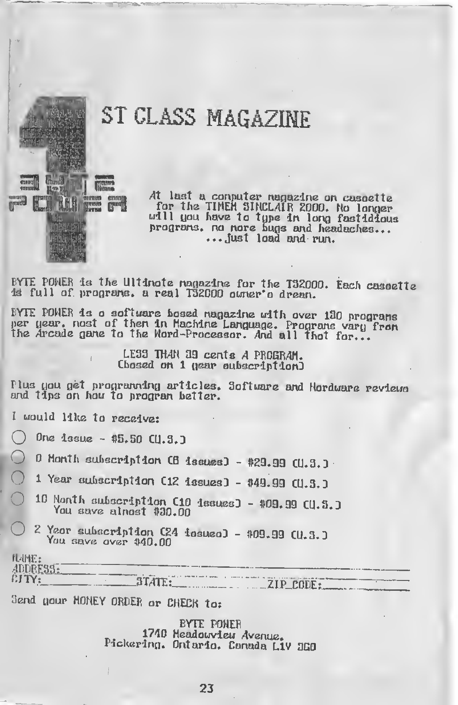# ST CLASS MAGAZINE

At last a conputer nagazine on casoette For the TIMER SINCLAIR 2000. No longer<br>udll you have to type in long fastidious<br>programs. no nore bugs and headaches...<br>... just load and run.

BYTE POWER is the Ultimote magazine for the T32000. Each caseette is full of programs, a real T32000 owner's dream.

EYTE PONER is a software based nagazine with over 130 programs per year, nost of then in Machine Language. Programs vary from the Arcade game to the Word-Processor. And all thot for...

> LESS THAN 39 cents A PROGRAM. Chosed on 1 gear eubscription)

Plus you get programming articles. Software and Hordware reviewe

I would like to receive:

mun

眼体附

emnnt

**I** 

One  $1$ ssue - \$5.50  $C(1.3.)$ 

0 Month subscription CB issues] - #29.99 CU.3.J.

1 Year subscription C12 issues] - \$49.99 CU.3.]

- 10 Nonth subscription (10 issues) \$09.99 CU.S. ) You save almost \$30.00
- 2 Year subscription C24 issueo] \$09.99 CU.3.] You save over \$40.00

| 电栅柱                                                                                     |                                                                                                                                                                                                                                                       |
|-----------------------------------------------------------------------------------------|-------------------------------------------------------------------------------------------------------------------------------------------------------------------------------------------------------------------------------------------------------|
| <b>ADDRESSE</b><br><u> 1980 - Jan William III, markin management et al. 1</u>           | and the following property contribution is a contribution of the contribution of the contribution of the contribution of the contribution of the contribution of the contribution of the contribution of the contribution of t                        |
| EITY:<br>$\blacksquare$ $\blacksquare$<br><b>STATE.</b><br>.<br><b>E. Street Street</b> | the sale of the continue of the continue of the continue of the continue of the continue of the continued of the continued of the continued of the continued of the continued of the continued of the continued of the continu<br>71 D<br><b>PODE</b> |

Send gour MONEY ORDER or CHECK to:

BYTE POWER 1740 Headow deu Avenue. Pickering. Ontario. Canada Liv 350

23